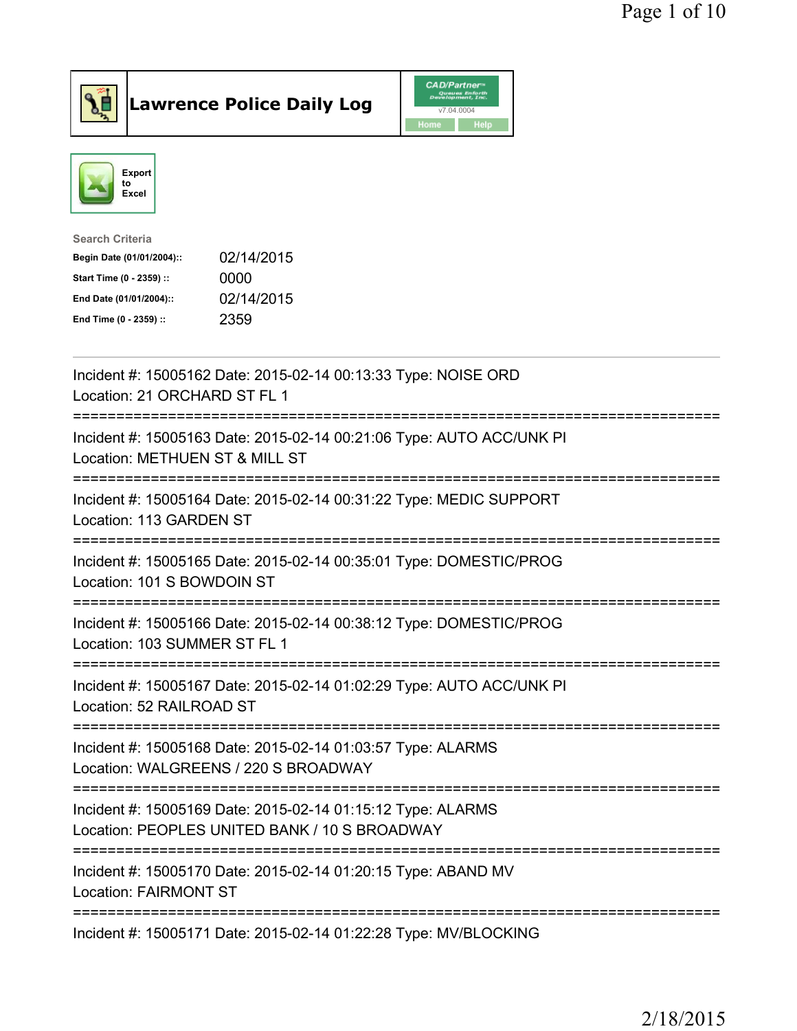



| <b>Search Criteria</b>    |            |
|---------------------------|------------|
| Begin Date (01/01/2004):: | 02/14/2015 |
| Start Time (0 - 2359) ::  | 0000       |
| End Date (01/01/2004)::   | 02/14/2015 |
| End Time (0 - 2359) ::    | 2359       |
|                           |            |

| Incident #: 15005162 Date: 2015-02-14 00:13:33 Type: NOISE ORD<br>Location: 21 ORCHARD ST FL 1                                         |
|----------------------------------------------------------------------------------------------------------------------------------------|
| Incident #: 15005163 Date: 2015-02-14 00:21:06 Type: AUTO ACC/UNK PI<br>Location: METHUEN ST & MILL ST                                 |
| Incident #: 15005164 Date: 2015-02-14 00:31:22 Type: MEDIC SUPPORT<br>Location: 113 GARDEN ST                                          |
| Incident #: 15005165 Date: 2015-02-14 00:35:01 Type: DOMESTIC/PROG<br>Location: 101 S BOWDOIN ST                                       |
| Incident #: 15005166 Date: 2015-02-14 00:38:12 Type: DOMESTIC/PROG<br>Location: 103 SUMMER ST FL 1                                     |
| Incident #: 15005167 Date: 2015-02-14 01:02:29 Type: AUTO ACC/UNK PI<br>Location: 52 RAILROAD ST                                       |
| Incident #: 15005168 Date: 2015-02-14 01:03:57 Type: ALARMS<br>Location: WALGREENS / 220 S BROADWAY<br>=============================== |
| Incident #: 15005169 Date: 2015-02-14 01:15:12 Type: ALARMS<br>Location: PEOPLES UNITED BANK / 10 S BROADWAY                           |
| Incident #: 15005170 Date: 2015-02-14 01:20:15 Type: ABAND MV<br><b>Location: FAIRMONT ST</b>                                          |
| Incident #: 15005171 Date: 2015-02-14 01:22:28 Type: MV/BLOCKING                                                                       |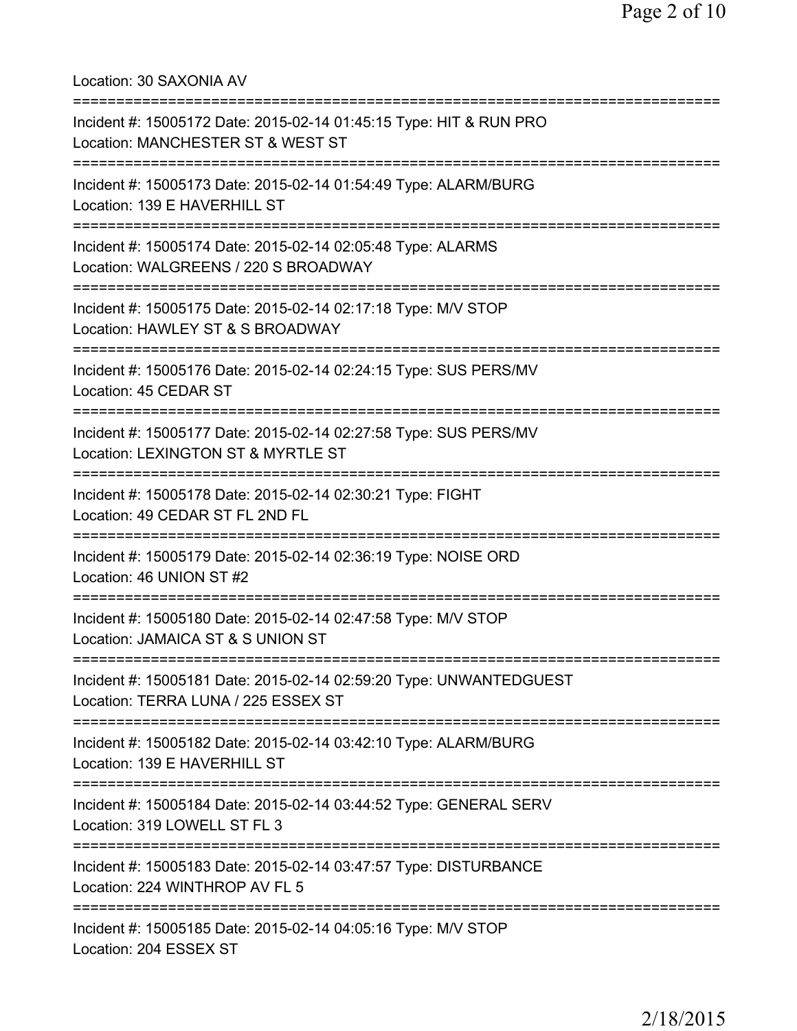Location: 30 SAXONIA AV =========================================================================== Incident #: 15005172 Date: 2015-02-14 01:45:15 Type: HIT & RUN PRO Location: MANCHESTER ST & WEST ST =========================================================================== Incident #: 15005173 Date: 2015-02-14 01:54:49 Type: ALARM/BURG Location: 139 E HAVERHILL ST =========================================================================== Incident #: 15005174 Date: 2015-02-14 02:05:48 Type: ALARMS Location: WALGREENS / 220 S BROADWAY =========================================================================== Incident #: 15005175 Date: 2015-02-14 02:17:18 Type: M/V STOP Location: HAWLEY ST & S BROADWAY =========================================================================== Incident #: 15005176 Date: 2015-02-14 02:24:15 Type: SUS PERS/MV Location: 45 CEDAR ST =========================================================================== Incident #: 15005177 Date: 2015-02-14 02:27:58 Type: SUS PERS/MV Location: LEXINGTON ST & MYRTLE ST =========================================================================== Incident #: 15005178 Date: 2015-02-14 02:30:21 Type: FIGHT Location: 49 CEDAR ST FL 2ND FL =========================================================================== Incident #: 15005179 Date: 2015-02-14 02:36:19 Type: NOISE ORD Location: 46 UNION ST #2 =========================================================================== Incident #: 15005180 Date: 2015-02-14 02:47:58 Type: M/V STOP Location: JAMAICA ST & S UNION ST =========================================================================== Incident #: 15005181 Date: 2015-02-14 02:59:20 Type: UNWANTEDGUEST Location: TERRA LUNA / 225 ESSEX ST =========================================================================== Incident #: 15005182 Date: 2015-02-14 03:42:10 Type: ALARM/BURG Location: 139 E HAVERHILL ST =========================================================================== Incident #: 15005184 Date: 2015-02-14 03:44:52 Type: GENERAL SERV Location: 319 LOWELL ST FL 3 =========================================================================== Incident #: 15005183 Date: 2015-02-14 03:47:57 Type: DISTURBANCE Location: 224 WINTHROP AV FL 5 =========================================================================== Incident #: 15005185 Date: 2015-02-14 04:05:16 Type: M/V STOP Location: 204 ESSEX ST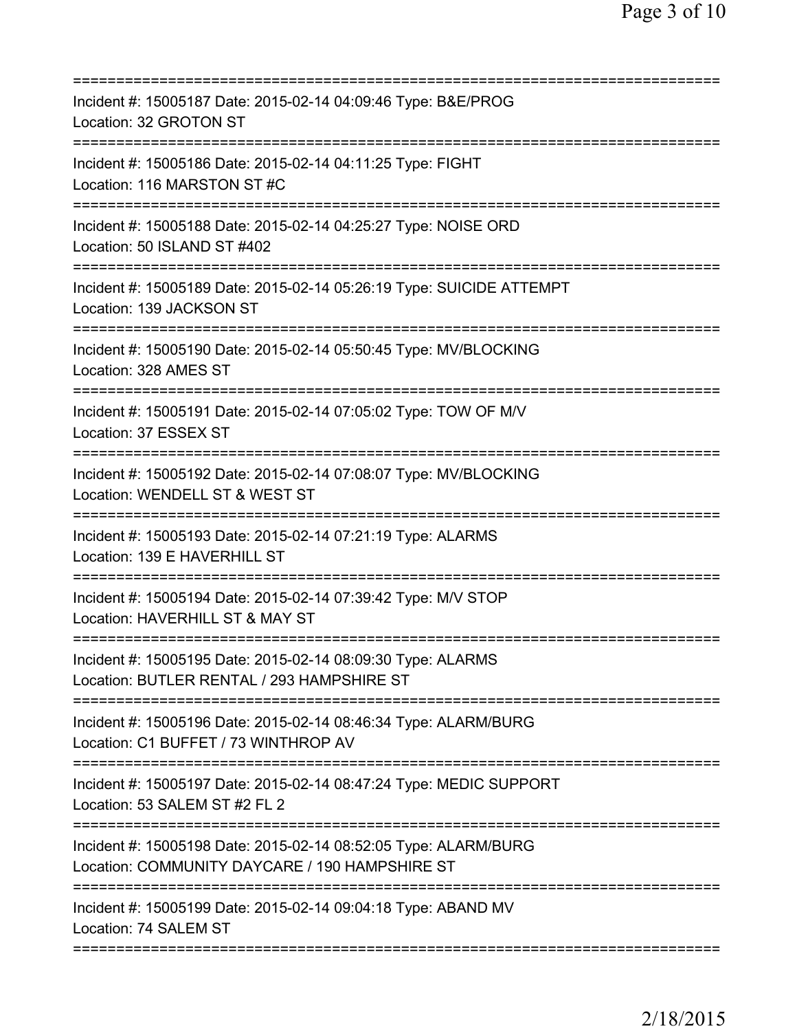| Incident #: 15005187 Date: 2015-02-14 04:09:46 Type: B&E/PROG<br>Location: 32 GROTON ST                                                    |
|--------------------------------------------------------------------------------------------------------------------------------------------|
| Incident #: 15005186 Date: 2015-02-14 04:11:25 Type: FIGHT<br>Location: 116 MARSTON ST #C                                                  |
| Incident #: 15005188 Date: 2015-02-14 04:25:27 Type: NOISE ORD<br>Location: 50 ISLAND ST #402                                              |
| Incident #: 15005189 Date: 2015-02-14 05:26:19 Type: SUICIDE ATTEMPT<br>Location: 139 JACKSON ST                                           |
| Incident #: 15005190 Date: 2015-02-14 05:50:45 Type: MV/BLOCKING<br>Location: 328 AMES ST                                                  |
| Incident #: 15005191 Date: 2015-02-14 07:05:02 Type: TOW OF M/V<br>Location: 37 ESSEX ST                                                   |
| Incident #: 15005192 Date: 2015-02-14 07:08:07 Type: MV/BLOCKING<br>Location: WENDELL ST & WEST ST                                         |
| Incident #: 15005193 Date: 2015-02-14 07:21:19 Type: ALARMS<br>Location: 139 E HAVERHILL ST<br>==================                          |
| Incident #: 15005194 Date: 2015-02-14 07:39:42 Type: M/V STOP<br>Location: HAVERHILL ST & MAY ST                                           |
| Incident #: 15005195 Date: 2015-02-14 08:09:30 Type: ALARMS<br>Location: BUTLER RENTAL / 293 HAMPSHIRE ST                                  |
| Incident #: 15005196 Date: 2015-02-14 08:46:34 Type: ALARM/BURG<br>Location: C1 BUFFET / 73 WINTHROP AV<br>=============================== |
| Incident #: 15005197 Date: 2015-02-14 08:47:24 Type: MEDIC SUPPORT<br>Location: 53 SALEM ST #2 FL 2<br>===========================         |
| Incident #: 15005198 Date: 2015-02-14 08:52:05 Type: ALARM/BURG<br>Location: COMMUNITY DAYCARE / 190 HAMPSHIRE ST                          |
| Incident #: 15005199 Date: 2015-02-14 09:04:18 Type: ABAND MV<br>Location: 74 SALEM ST                                                     |
|                                                                                                                                            |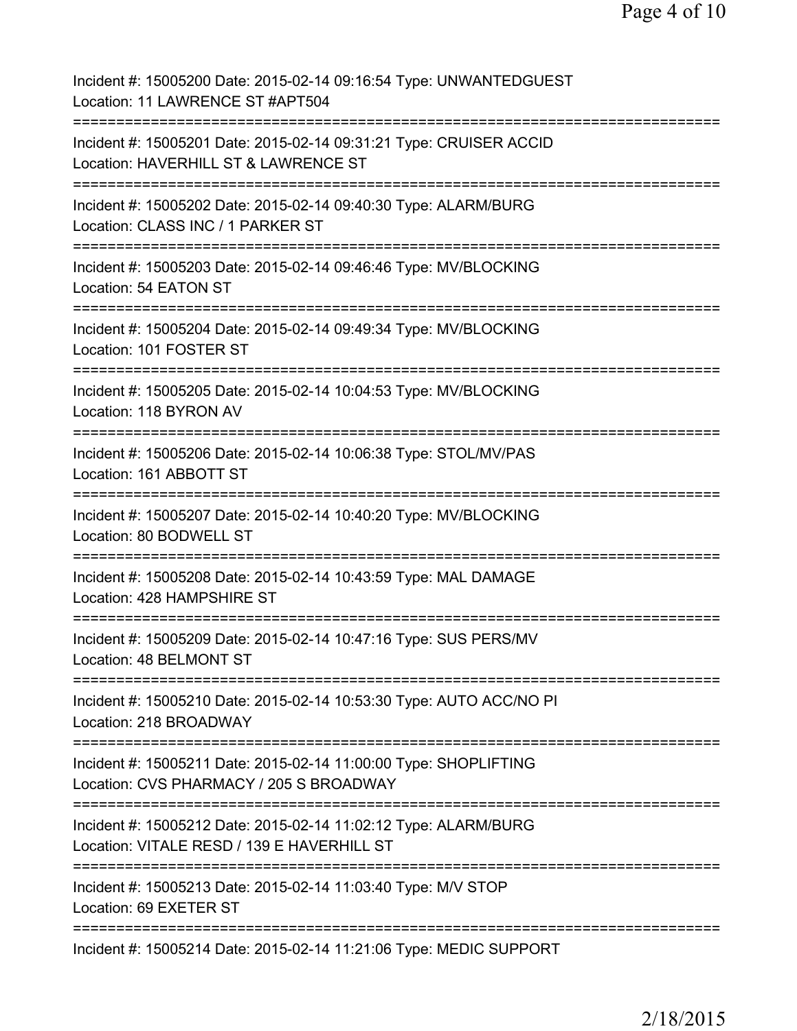| Incident #: 15005200 Date: 2015-02-14 09:16:54 Type: UNWANTEDGUEST<br>Location: 11 LAWRENCE ST #APT504                             |
|------------------------------------------------------------------------------------------------------------------------------------|
| Incident #: 15005201 Date: 2015-02-14 09:31:21 Type: CRUISER ACCID<br>Location: HAVERHILL ST & LAWRENCE ST                         |
| Incident #: 15005202 Date: 2015-02-14 09:40:30 Type: ALARM/BURG<br>Location: CLASS INC / 1 PARKER ST                               |
| Incident #: 15005203 Date: 2015-02-14 09:46:46 Type: MV/BLOCKING<br>Location: 54 EATON ST                                          |
| Incident #: 15005204 Date: 2015-02-14 09:49:34 Type: MV/BLOCKING<br>Location: 101 FOSTER ST                                        |
| Incident #: 15005205 Date: 2015-02-14 10:04:53 Type: MV/BLOCKING<br>Location: 118 BYRON AV                                         |
| Incident #: 15005206 Date: 2015-02-14 10:06:38 Type: STOL/MV/PAS<br>Location: 161 ABBOTT ST<br>=================================== |
| Incident #: 15005207 Date: 2015-02-14 10:40:20 Type: MV/BLOCKING<br>Location: 80 BODWELL ST                                        |
| Incident #: 15005208 Date: 2015-02-14 10:43:59 Type: MAL DAMAGE<br>Location: 428 HAMPSHIRE ST                                      |
| Incident #: 15005209 Date: 2015-02-14 10:47:16 Type: SUS PERS/MV<br>Location: 48 BELMONT ST                                        |
| Incident #: 15005210 Date: 2015-02-14 10:53:30 Type: AUTO ACC/NO PI<br>Location: 218 BROADWAY                                      |
| Incident #: 15005211 Date: 2015-02-14 11:00:00 Type: SHOPLIFTING<br>Location: CVS PHARMACY / 205 S BROADWAY                        |
| Incident #: 15005212 Date: 2015-02-14 11:02:12 Type: ALARM/BURG<br>Location: VITALE RESD / 139 E HAVERHILL ST                      |
| Incident #: 15005213 Date: 2015-02-14 11:03:40 Type: M/V STOP<br>Location: 69 EXETER ST                                            |
| Incident #: 15005214 Date: 2015-02-14 11:21:06 Type: MEDIC SUPPORT                                                                 |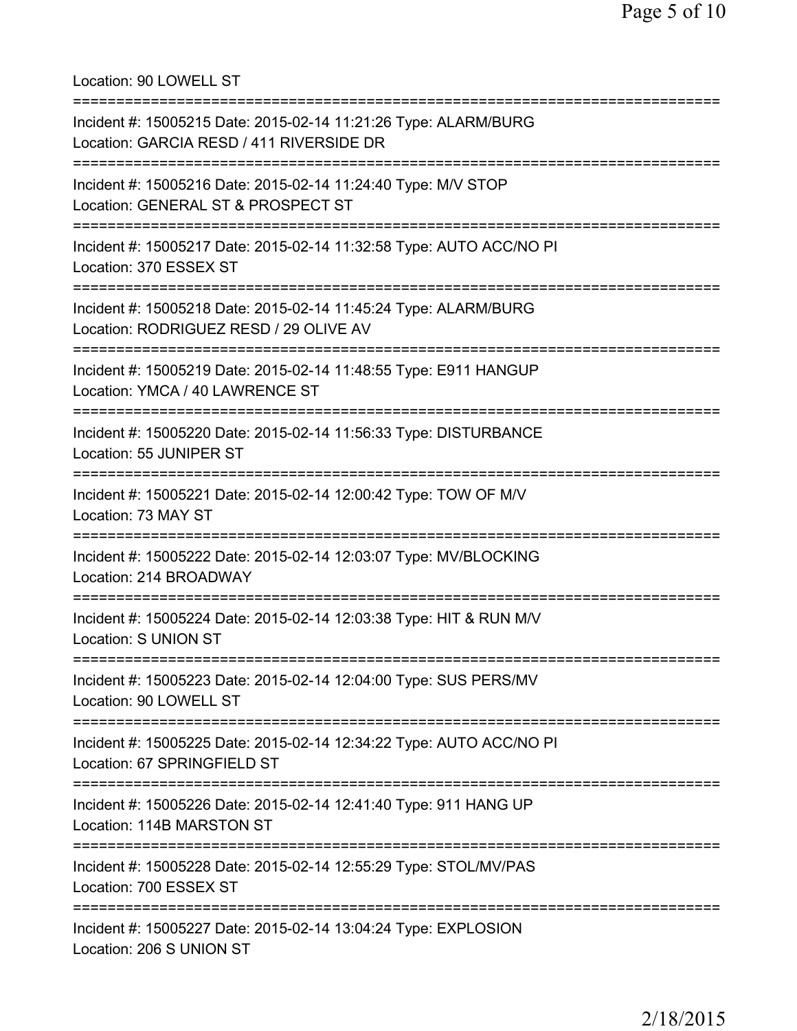Location: 90 LOWELL ST =========================================================================== Incident #: 15005215 Date: 2015-02-14 11:21:26 Type: ALARM/BURG Location: GARCIA RESD / 411 RIVERSIDE DR =========================================================================== Incident #: 15005216 Date: 2015-02-14 11:24:40 Type: M/V STOP Location: GENERAL ST & PROSPECT ST =========================================================================== Incident #: 15005217 Date: 2015-02-14 11:32:58 Type: AUTO ACC/NO PI Location: 370 ESSEX ST =========================================================================== Incident #: 15005218 Date: 2015-02-14 11:45:24 Type: ALARM/BURG Location: RODRIGUEZ RESD / 29 OLIVE AV =========================================================================== Incident #: 15005219 Date: 2015-02-14 11:48:55 Type: E911 HANGUP Location: YMCA / 40 LAWRENCE ST =========================================================================== Incident #: 15005220 Date: 2015-02-14 11:56:33 Type: DISTURBANCE Location: 55 JUNIPER ST =========================================================================== Incident #: 15005221 Date: 2015-02-14 12:00:42 Type: TOW OF M/V Location: 73 MAY ST =========================================================================== Incident #: 15005222 Date: 2015-02-14 12:03:07 Type: MV/BLOCKING Location: 214 BROADWAY =========================================================================== Incident #: 15005224 Date: 2015-02-14 12:03:38 Type: HIT & RUN M/V Location: S UNION ST =========================================================================== Incident #: 15005223 Date: 2015-02-14 12:04:00 Type: SUS PERS/MV Location: 90 LOWELL ST =========================================================================== Incident #: 15005225 Date: 2015-02-14 12:34:22 Type: AUTO ACC/NO PI Location: 67 SPRINGFIELD ST =========================================================================== Incident #: 15005226 Date: 2015-02-14 12:41:40 Type: 911 HANG UP Location: 114B MARSTON ST =========================================================================== Incident #: 15005228 Date: 2015-02-14 12:55:29 Type: STOL/MV/PAS Location: 700 ESSEX ST =========================================================================== Incident #: 15005227 Date: 2015-02-14 13:04:24 Type: EXPLOSION Location: 206 S UNION ST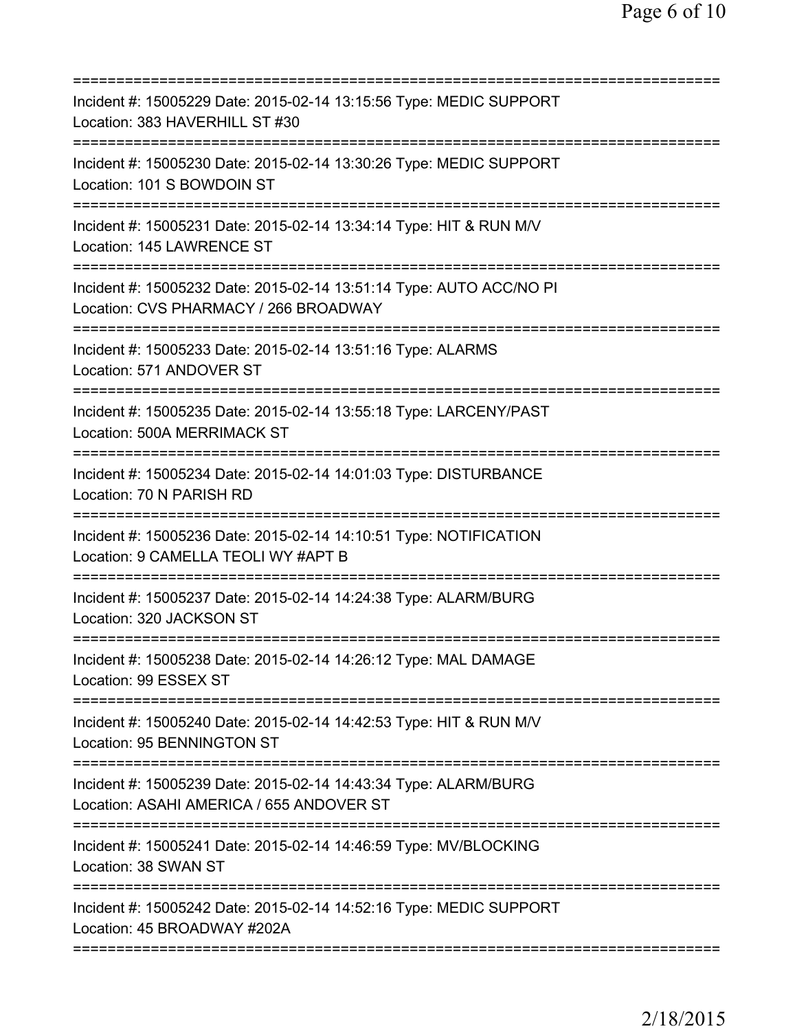| Incident #: 15005229 Date: 2015-02-14 13:15:56 Type: MEDIC SUPPORT<br>Location: 383 HAVERHILL ST #30                                               |
|----------------------------------------------------------------------------------------------------------------------------------------------------|
| Incident #: 15005230 Date: 2015-02-14 13:30:26 Type: MEDIC SUPPORT<br>Location: 101 S BOWDOIN ST                                                   |
| Incident #: 15005231 Date: 2015-02-14 13:34:14 Type: HIT & RUN M/V<br>Location: 145 LAWRENCE ST                                                    |
| Incident #: 15005232 Date: 2015-02-14 13:51:14 Type: AUTO ACC/NO PI<br>Location: CVS PHARMACY / 266 BROADWAY<br>================================== |
| Incident #: 15005233 Date: 2015-02-14 13:51:16 Type: ALARMS<br>Location: 571 ANDOVER ST                                                            |
| Incident #: 15005235 Date: 2015-02-14 13:55:18 Type: LARCENY/PAST<br>Location: 500A MERRIMACK ST                                                   |
| Incident #: 15005234 Date: 2015-02-14 14:01:03 Type: DISTURBANCE<br>Location: 70 N PARISH RD                                                       |
| Incident #: 15005236 Date: 2015-02-14 14:10:51 Type: NOTIFICATION<br>Location: 9 CAMELLA TEOLI WY #APT B                                           |
| Incident #: 15005237 Date: 2015-02-14 14:24:38 Type: ALARM/BURG<br>Location: 320 JACKSON ST                                                        |
| Incident #: 15005238 Date: 2015-02-14 14:26:12 Type: MAL DAMAGE<br>Location: 99 ESSEX ST                                                           |
| Incident #: 15005240 Date: 2015-02-14 14:42:53 Type: HIT & RUN M/V<br>Location: 95 BENNINGTON ST                                                   |
| Incident #: 15005239 Date: 2015-02-14 14:43:34 Type: ALARM/BURG<br>Location: ASAHI AMERICA / 655 ANDOVER ST                                        |
| Incident #: 15005241 Date: 2015-02-14 14:46:59 Type: MV/BLOCKING<br>Location: 38 SWAN ST                                                           |
| Incident #: 15005242 Date: 2015-02-14 14:52:16 Type: MEDIC SUPPORT<br>Location: 45 BROADWAY #202A                                                  |
|                                                                                                                                                    |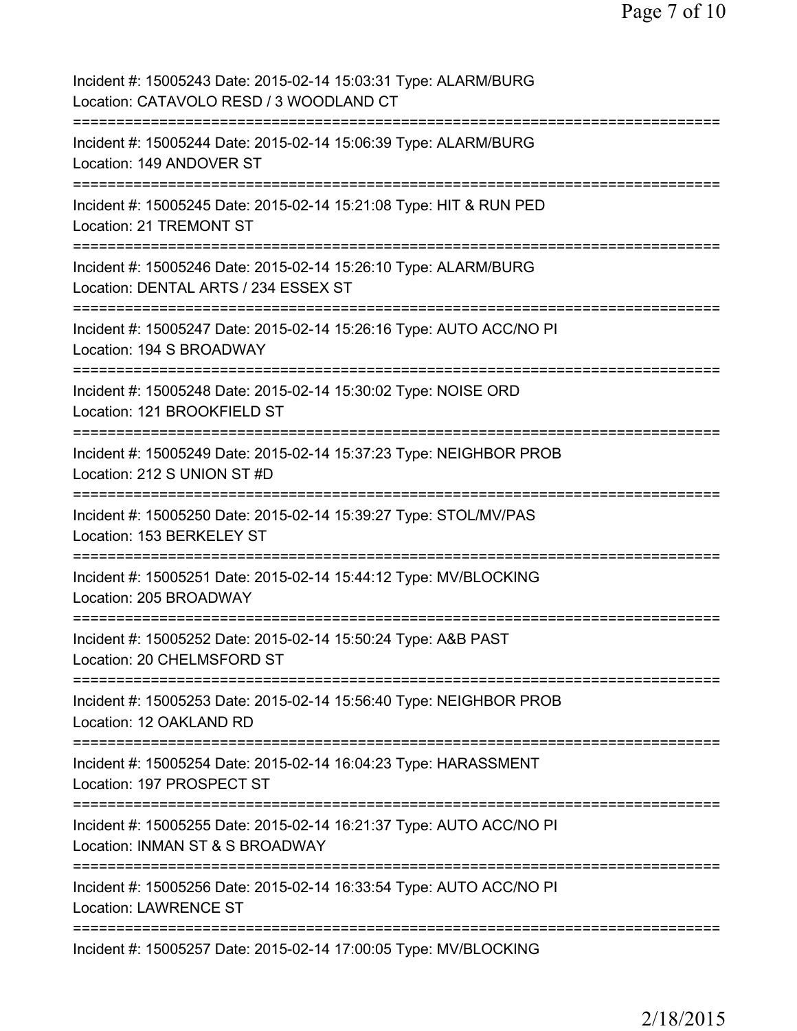Page 7 of 10

| Incident #: 15005243 Date: 2015-02-14 15:03:31 Type: ALARM/BURG<br>Location: CATAVOLO RESD / 3 WOODLAND CT                                                                           |
|--------------------------------------------------------------------------------------------------------------------------------------------------------------------------------------|
| Incident #: 15005244 Date: 2015-02-14 15:06:39 Type: ALARM/BURG<br>Location: 149 ANDOVER ST                                                                                          |
| Incident #: 15005245 Date: 2015-02-14 15:21:08 Type: HIT & RUN PED<br>Location: 21 TREMONT ST                                                                                        |
| Incident #: 15005246 Date: 2015-02-14 15:26:10 Type: ALARM/BURG<br>Location: DENTAL ARTS / 234 ESSEX ST                                                                              |
| Incident #: 15005247 Date: 2015-02-14 15:26:16 Type: AUTO ACC/NO PI<br>Location: 194 S BROADWAY<br>:================================                                                 |
| Incident #: 15005248 Date: 2015-02-14 15:30:02 Type: NOISE ORD<br>Location: 121 BROOKFIELD ST<br>:==============                                                                     |
| Incident #: 15005249 Date: 2015-02-14 15:37:23 Type: NEIGHBOR PROB<br>Location: 212 S UNION ST #D<br>;==================================                                             |
| Incident #: 15005250 Date: 2015-02-14 15:39:27 Type: STOL/MV/PAS<br>Location: 153 BERKELEY ST                                                                                        |
| Incident #: 15005251 Date: 2015-02-14 15:44:12 Type: MV/BLOCKING<br>Location: 205 BROADWAY                                                                                           |
| Incident #: 15005252 Date: 2015-02-14 15:50:24 Type: A&B PAST<br>Location: 20 CHELMSFORD ST                                                                                          |
| Incident #: 15005253 Date: 2015-02-14 15:56:40 Type: NEIGHBOR PROB<br>Location: 12 OAKLAND RD                                                                                        |
| Incident #: 15005254 Date: 2015-02-14 16:04:23 Type: HARASSMENT<br>Location: 197 PROSPECT ST                                                                                         |
| Incident #: 15005255 Date: 2015-02-14 16:21:37 Type: AUTO ACC/NO PI<br>Location: INMAN ST & S BROADWAY                                                                               |
| :================<br>===========================<br>:========================<br>Incident #: 15005256 Date: 2015-02-14 16:33:54 Type: AUTO ACC/NO PI<br><b>Location: LAWRENCE ST</b> |
| ===================<br>Incident #: 15005257 Date: 2015-02-14 17:00:05 Type: MV/BLOCKING                                                                                              |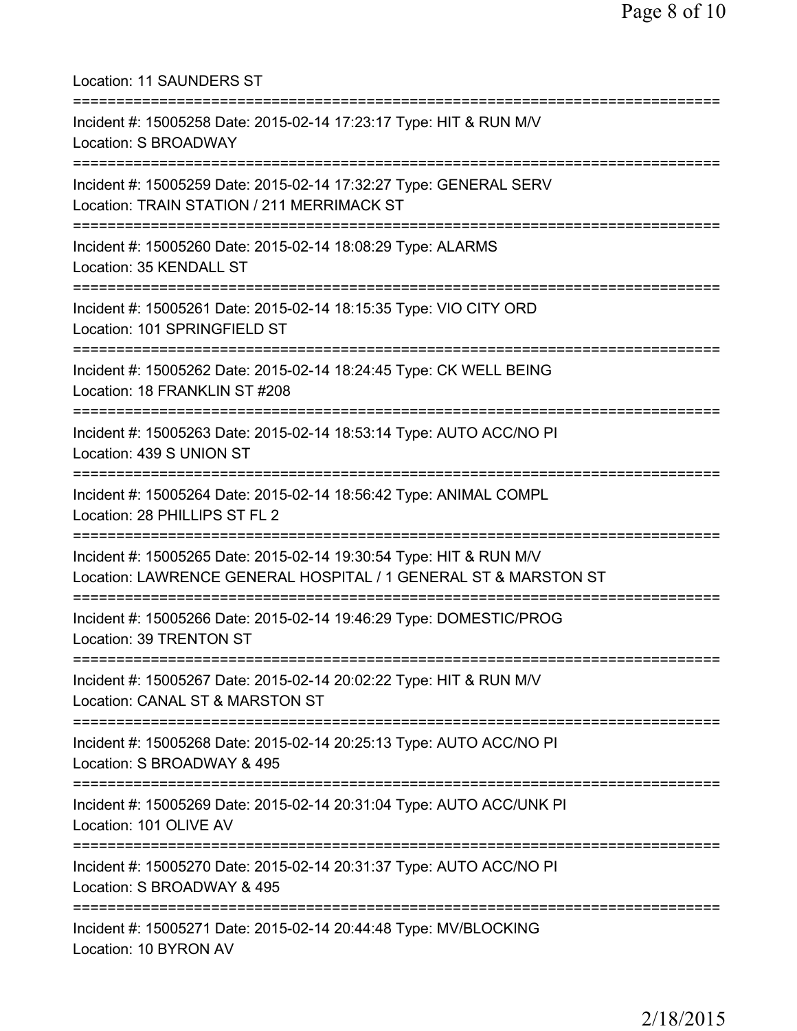| Location: 11 SAUNDERS ST                                                                                                                      |
|-----------------------------------------------------------------------------------------------------------------------------------------------|
| Incident #: 15005258 Date: 2015-02-14 17:23:17 Type: HIT & RUN M/V<br><b>Location: S BROADWAY</b>                                             |
| Incident #: 15005259 Date: 2015-02-14 17:32:27 Type: GENERAL SERV<br>Location: TRAIN STATION / 211 MERRIMACK ST<br>========================== |
| Incident #: 15005260 Date: 2015-02-14 18:08:29 Type: ALARMS<br>Location: 35 KENDALL ST                                                        |
| Incident #: 15005261 Date: 2015-02-14 18:15:35 Type: VIO CITY ORD<br>Location: 101 SPRINGFIELD ST                                             |
| Incident #: 15005262 Date: 2015-02-14 18:24:45 Type: CK WELL BEING<br>Location: 18 FRANKLIN ST #208                                           |
| Incident #: 15005263 Date: 2015-02-14 18:53:14 Type: AUTO ACC/NO PI<br>Location: 439 S UNION ST                                               |
| Incident #: 15005264 Date: 2015-02-14 18:56:42 Type: ANIMAL COMPL<br>Location: 28 PHILLIPS ST FL 2                                            |
| Incident #: 15005265 Date: 2015-02-14 19:30:54 Type: HIT & RUN M/V<br>Location: LAWRENCE GENERAL HOSPITAL / 1 GENERAL ST & MARSTON ST         |
| Incident #: 15005266 Date: 2015-02-14 19:46:29 Type: DOMESTIC/PROG<br>Location: 39 TRENTON ST                                                 |
| Incident #: 15005267 Date: 2015-02-14 20:02:22 Type: HIT & RUN M/V<br>Location: CANAL ST & MARSTON ST                                         |
| Incident #: 15005268 Date: 2015-02-14 20:25:13 Type: AUTO ACC/NO PI<br>Location: S BROADWAY & 495                                             |
| Incident #: 15005269 Date: 2015-02-14 20:31:04 Type: AUTO ACC/UNK PI<br>Location: 101 OLIVE AV                                                |
| Incident #: 15005270 Date: 2015-02-14 20:31:37 Type: AUTO ACC/NO PI<br>Location: S BROADWAY & 495                                             |
| Incident #: 15005271 Date: 2015-02-14 20:44:48 Type: MV/BLOCKING<br>Location: 10 BYRON AV                                                     |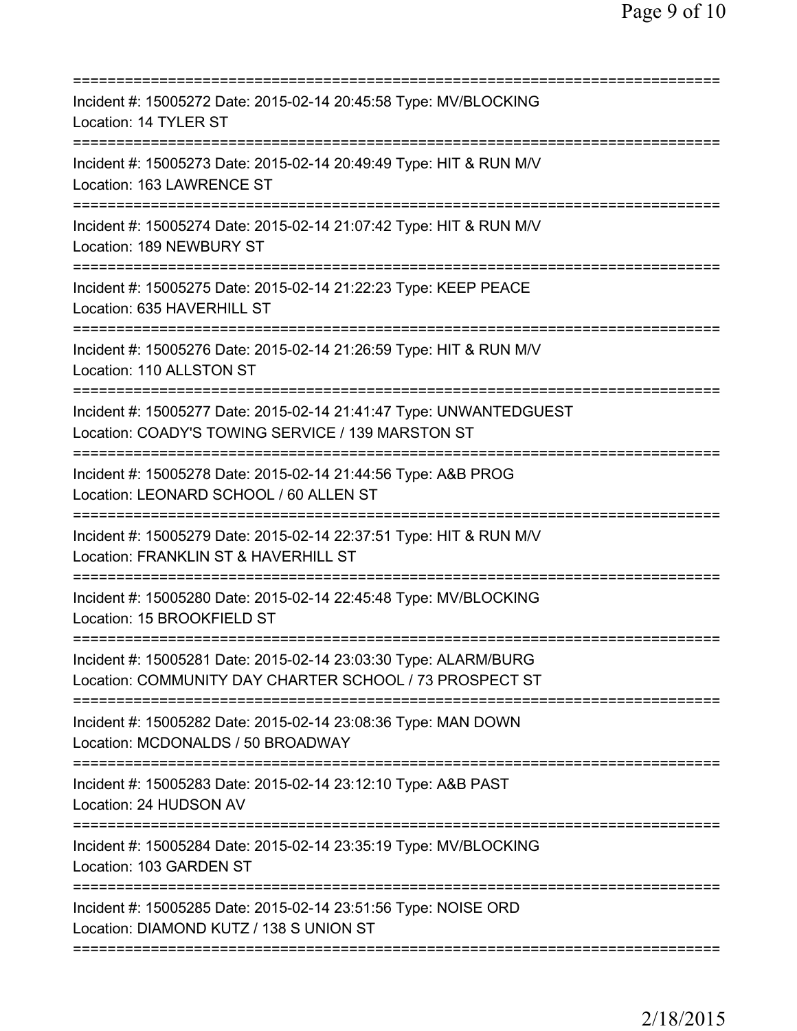| Incident #: 15005272 Date: 2015-02-14 20:45:58 Type: MV/BLOCKING<br>Location: 14 TYLER ST<br>==================                                      |
|------------------------------------------------------------------------------------------------------------------------------------------------------|
| Incident #: 15005273 Date: 2015-02-14 20:49:49 Type: HIT & RUN M/V<br>Location: 163 LAWRENCE ST                                                      |
| Incident #: 15005274 Date: 2015-02-14 21:07:42 Type: HIT & RUN M/V<br>Location: 189 NEWBURY ST                                                       |
| Incident #: 15005275 Date: 2015-02-14 21:22:23 Type: KEEP PEACE<br>Location: 635 HAVERHILL ST                                                        |
| Incident #: 15005276 Date: 2015-02-14 21:26:59 Type: HIT & RUN M/V<br>Location: 110 ALLSTON ST                                                       |
| Incident #: 15005277 Date: 2015-02-14 21:41:47 Type: UNWANTEDGUEST<br>Location: COADY'S TOWING SERVICE / 139 MARSTON ST<br>========================= |
| Incident #: 15005278 Date: 2015-02-14 21:44:56 Type: A&B PROG<br>Location: LEONARD SCHOOL / 60 ALLEN ST<br>====================================      |
| Incident #: 15005279 Date: 2015-02-14 22:37:51 Type: HIT & RUN M/V<br>Location: FRANKLIN ST & HAVERHILL ST<br>===========================            |
| Incident #: 15005280 Date: 2015-02-14 22:45:48 Type: MV/BLOCKING<br>Location: 15 BROOKFIELD ST                                                       |
| Incident #: 15005281 Date: 2015-02-14 23:03:30 Type: ALARM/BURG<br>Location: COMMUNITY DAY CHARTER SCHOOL / 73 PROSPECT ST                           |
| Incident #: 15005282 Date: 2015-02-14 23:08:36 Type: MAN DOWN<br>Location: MCDONALDS / 50 BROADWAY                                                   |
| Incident #: 15005283 Date: 2015-02-14 23:12:10 Type: A&B PAST<br>Location: 24 HUDSON AV                                                              |
| Incident #: 15005284 Date: 2015-02-14 23:35:19 Type: MV/BLOCKING<br>Location: 103 GARDEN ST                                                          |
| Incident #: 15005285 Date: 2015-02-14 23:51:56 Type: NOISE ORD<br>Location: DIAMOND KUTZ / 138 S UNION ST                                            |
|                                                                                                                                                      |